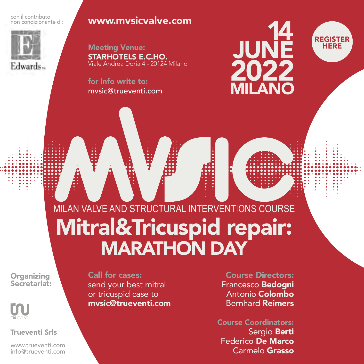con il contributo non condizionante di:



Edwards...

#### [www.mvsicvalve.com](https://mvsicvalve.com/)

Meeting Venue: STARHOTELS E.C.HO. Viale Andrea Doria 4 - 20124 Milano

for info write to: mvsic@trueventi.com





# MILAN VALVE AND STRUCTURAL INTERVENTIONS COURSE Mitral&Tricuspid repair: **MARATHON DAY**

**Organizing** Secretariat:



Trueventi Srls

[www.trueventi.com](https://trueventi.com/) info@trueventi.com

Call for cases: send your best mitral or tricuspid case to mvsic@trueventi.com

Course Directors: Francesco Bedogni Antonio Colombo Bernhard Reimers

Course Coordinators: Sergio Berti Federico De Marco Carmelo Grasso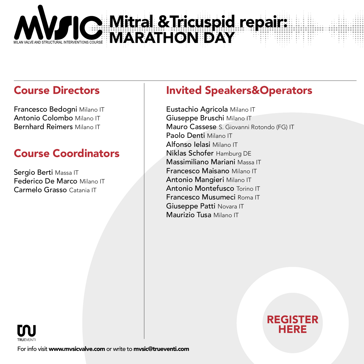

### Course Directors

Francesco Bedogni Milano IT Antonio Colombo Milano IT Bernhard Reimers Milano IT

# Course Coordinators

Sergio Berti Massa IT Federico De Marco Milano IT Carmelo Grasso Catania IT

## Invited Speakers&Operators

Eustachio Agricola Milano IT Giuseppe Bruschi Milano IT Mauro Cassese S. Giovanni Rotondo (FG) IT Paolo Denti Milano IT Alfonso Ielasi Milano IT Niklas Schofer Hamburg DE Massimiliano Mariani Massa IT Francesco Maisano Milano IT Antonio Mangieri Milano IT Antonio Montefusco Torino IT Francesco Musumeci Roma IT Giuseppe Patti Novara IT Maurizio Tusa Milano IT





For info visit [www.mvsicvalve.com](https://mvsicvalve.com/) or write to mvsic@trueventi.com